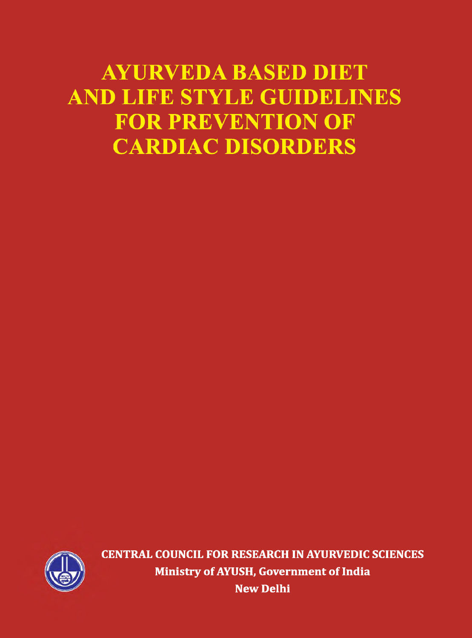# **AYURVEDA BASED DIET AND LIFE STYLE GUIDELINES FOR PREVENTION OF CARDIAC DISORDERS**



**CENTRAL COUNCIL FOR RESEARCH IN AYURVEDIC SCIENCES Ministry of AYUSH, Government of India New Delhi**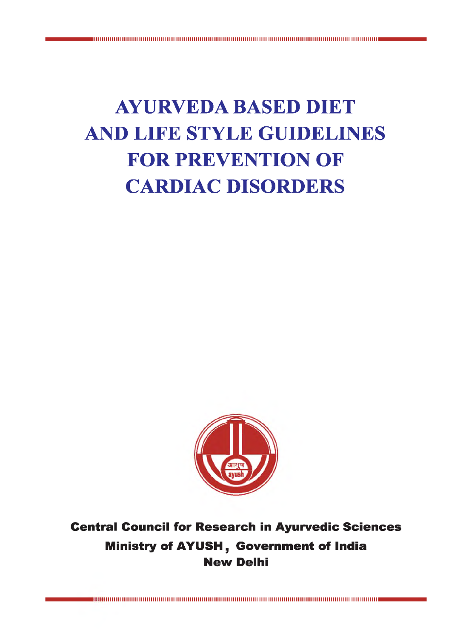# **AYURVEDA BASED DIET AND LIFE STYLE GUIDELINES FOR PREVENTION OF CARDIAC DISORDERS**



# Central Council for Research in Ayurvedic Sciences Ministry of AYUSH, Government of India New Delhi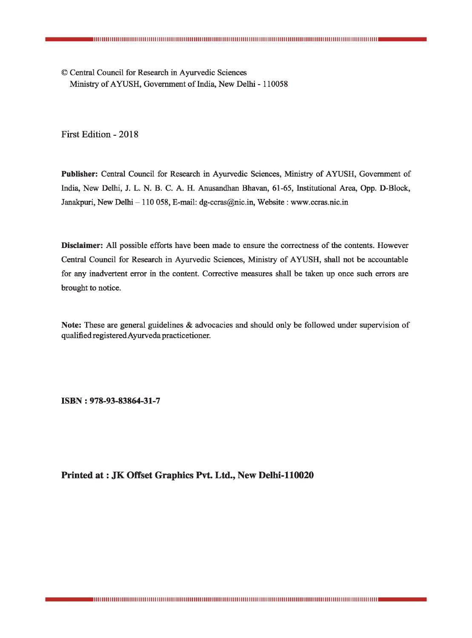© Central Council for Research in Ayurvedic Sciences Ministry of AYUSH, Government of India, New Delhi - 110058

First Edition - 2018

**Publisher:** Central Council for Research in Ayurvedic Sciences, Ministry of AYUSH, Government of India, New Delhi, J. L. N. B. C. A. H. Anusandhan Bhavan, 61-65, Institutional Area, Opp. D-Block, Janakpuri, New Delhi - 110 058, E-mail: [dg-ccras@nic.in,](mailto:dg-ccras@nic.in) Website : [www.ccras.nic.in](http://www.ccras.nic.in)

**Disclaimer:** All possible efforts have been made to ensure the correctness of the contents. However Central Council for Research in Ayurvedic Sciences, Ministry of AYUSH, shall not be accountable for any inadvertent error in the content. Corrective measures shall be taken up once such errors are brought to notice.

**Note:** These are general guidelines & advocacies and should only be followed under supervision of qualified registered Ayurveda practicetioner.

**ISBN : 978-93-83864-31-7**

**Printed at : JK Offset Graphics Pvt. Ltd., New Delhi-110020**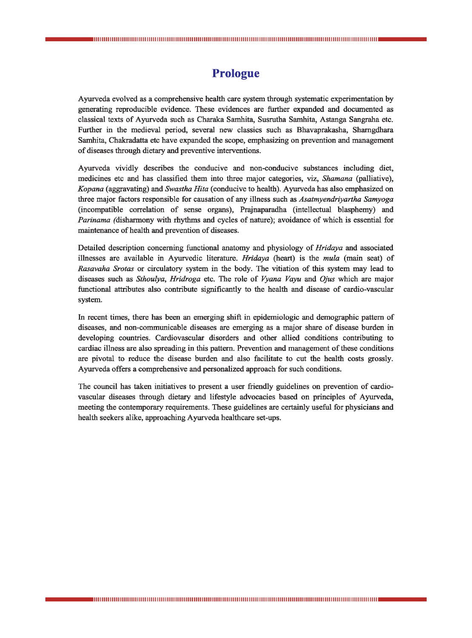# **Prologue**

Ayurveda evolved as a comprehensive health care system through systematic experimentation by generating reproducible evidence. These evidences are further expanded and documented as classical texts of Ayurveda such as Charaka Samhita, Susrutha Samhita, Astanga Sangraha etc. Further in the medieval period, several new classics such as Bhavaprakasha, Shamgdhara Samhita, Chakradatta etc have expanded the scope, emphasizing on prevention and management of diseases through dietary and preventive interventions.

Ayurveda vividly describes the conducive and non-conducive substances including diet, medicines etc and has classified them into three major categories, viz, *Shamana* (palliative), *Kopana* (aggravating) and *Swastha Hita* (conducive to health). Ayurveda has also emphasized on three major factors responsible for causation of any illness such as *Asatmyendriyartha Samyoga* (incompatible correlation of sense organs), Prajnaparadha (intellectual blasphemy) and *Parinama* (disharmony with rhythms and cycles of nature); avoidance of which is essential for maintenance of health and prevention of diseases.

Detailed description concerning functional anatomy and physiology of *Hridaya* and associated illnesses are available in Ayurvedic literature. *Hridaya* (heart) is the *mula* (main seat) of *Rasavaha Srotas* or circulatory system in the body. The vitiation of this system may lead to diseases such as *Sthoulya, Hridroga* etc. The role of *Vyana Vayu* and *Ojus* which are major functional attributes also contribute significantly to the health and disease of cardio-vascular system.

In recent times, there has been an emerging shift in epidemiologic and demographic pattern of diseases, and non-communicable diseases are emerging as a major share of disease burden in developing countries. Cardiovascular disorders and other allied conditions contributing to cardiac illness are also spreading in this pattern. Prevention and management of these conditions are pivotal to reduce the disease burden and also facilitate to cut the health costs grossly. Ayurveda offers a comprehensive and personalized approach for such conditions.

The council has taken initiatives to present a user friendly guidelines on prevention of cardiovascular diseases through dietary and lifestyle advocacies based on principles of Ayurveda, meeting the contemporary requirements. These guidelines are certainly useful for physicians and health seekers alike, approaching Ayurveda healthcare set-ups.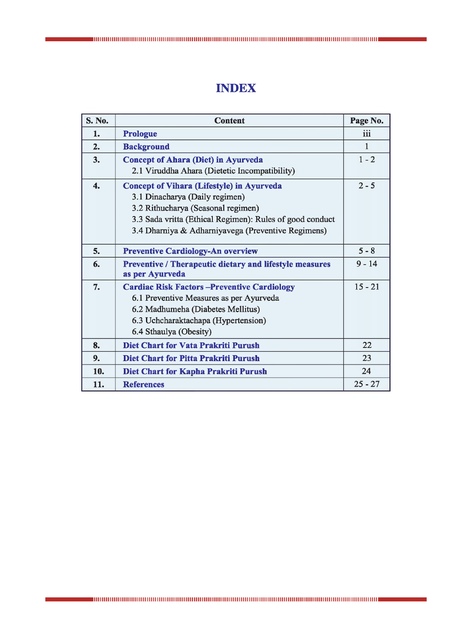# **INDEX**

| <b>S. No.</b> | <b>Content</b>                                                                                                                                                                                                                             | Page No.  |
|---------------|--------------------------------------------------------------------------------------------------------------------------------------------------------------------------------------------------------------------------------------------|-----------|
| 1.            | <b>Prologue</b>                                                                                                                                                                                                                            | iii       |
| 2.            | <b>Background</b>                                                                                                                                                                                                                          | 1         |
| 3.            | <b>Concept of Ahara (Diet) in Ayurveda</b><br>2.1 Viruddha Ahara (Dietetic Incompatibility)                                                                                                                                                | $1 - 2$   |
| 4.            | <b>Concept of Vihara (Lifestyle) in Ayurveda</b><br>3.1 Dinacharya (Daily regimen)<br>3.2 Rithucharya (Seasonal regimen)<br>3.3 Sada vritta (Ethical Regimen): Rules of good conduct<br>3.4 Dharniya & Adharniyavega (Preventive Regimens) | $2 - 5$   |
| 5.            | <b>Preventive Cardiology-An overview</b>                                                                                                                                                                                                   | $5 - 8$   |
| 6.            | <b>Preventive / Therapeutic dietary and lifestyle measures</b><br>as per Ayurveda                                                                                                                                                          | $9 - 14$  |
| 7.            | <b>Cardiac Risk Factors -Preventive Cardiology</b><br>6.1 Preventive Measures as per Ayurveda<br>6.2 Madhumeha (Diabetes Mellitus)<br>6.3 Uchcharaktachapa (Hypertension)<br>6.4 Sthaulya (Obesity)                                        | $15 - 21$ |
| 8.            | <b>Diet Chart for Vata Prakriti Purush</b>                                                                                                                                                                                                 | 22        |
| 9.            | Diet Chart for Pitta Prakriti Purush                                                                                                                                                                                                       | 23        |
| 10.           | Diet Chart for Kapha Prakriti Purush                                                                                                                                                                                                       | 24        |
| 11.           | <b>References</b>                                                                                                                                                                                                                          | $25 - 27$ |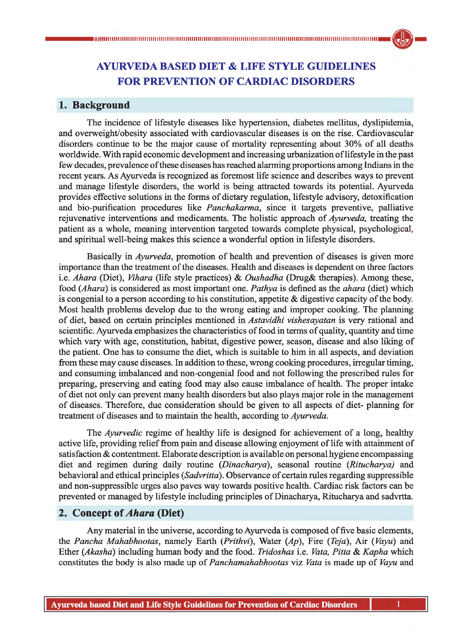# **AYURVEDA BASED DIET & LIFE STYLE GUIDELINES FOR PREVENTION OF CARDIAC DISORDERS**

# **1. Background**

The incidence of lifestyle diseases like hypertension, diabetes mellitus, dyslipidemia, and overweight/obesity associated with cardiovascular diseases is on the rise. Cardiovascular disorders continue to be the major cause of mortality representing about 30% of all deaths worldwide. With rapid economic development and increasing urbanization of lifestyle in the past few decades, prevalence of these diseases has reached alarming proportions among Indians in the recent years. As Ayurveda is recognized as foremost life science and describes ways to prevent and manage lifestyle disorders, the world is being attracted towards its potential. Ayurveda provides effective solutions in the forms of dietary regulation, lifestyle advisory, detoxification and bio-purification procedures like *Panchakarma,* since it targets preventive, palliative rejuvenative interventions and medicaments. The holistic approach of *Ayurveda,* treating the patient as a whole, meaning intervention targeted towards complete physical, psychological, and spiritual well-being makes this science a wonderful option in lifestyle disorders.

Basically in *Ayurveda,* promotion of health and prevention of diseases is given more importance than the treatment of the diseases. Health and diseases is dependent on three factors 1.e. *Ahara* (Diet), *Vihara* (life style practices) & *Oushadha* (Drug& therapies). Among these, food *(Ahara)* is considered as most important one. *Pathya* is defined as the *ahara* (diet) which is congenial to a person according to his constitution, appetite & digestive capacity of the body. Most health problems develop due to the wrong eating and improper cooking. The planning of diet, based on certain principles mentioned in *Astavidhi vishesayatan* is very rational and scientific. Ayurveda emphasizes the characteristics of food in terms of quality, quantity and time which vary with age, constitution, habitat, digestive power, season, disease and also liking of the patient. One has to consume the diet, which is suitable to him in all aspects, and deviation from these may cause diseases. In addition to these, wrong cooking procedures, irregular timing, and consuming imbalanced and non-congenial food and not following the prescribed rules for preparing, preserving and eating food may also cause imbalance of health. The proper intake of diet not only can prevent many health disorders but also plays major role in the management of diseases. Therefore, due consideration should be given to all aspects of diet- planning for treatment of diseases and to maintain the health, according to *Ayurveda.*

The *Ayurvedic* regime of healthy life is designed for achievement of a long, healthy active life, providing relief from pain and disease allowing enjoyment of life with attainment of satisfaction & contentment. Elaborate description is available on personal hygiene encompassing diet and regimen during daily routine (*Dinacharya*), seasonal routine (*Ritucharya)* and behavioral and ethical principles (*Sadvritta*). Observance of certain rules regarding suppressible and non-suppressible urges also paves way towards positive health. Cardiac risk factors can be prevented or managed by lifestyle including principles of Dinacharya, Ritucharya and sadvrtta.

# **2. Concept of** *Ahara* **(Diet)**

Any material in the universe, according to Ayurveda is composed of five basic elements, the *Pancha Mahabhootas,* namely Earth (*Prithvi*), Water *(Ap),* Fire (*Teja*), Air (*Vayu*) and Ether *(Akasha)* including human body and the food. *Tridoshas* i.e. *Vata, Pitta* & *Kapha* which constitutes the body is also made up of *Panchamahabhootas* viz *Vata* is made up of *Vayu* and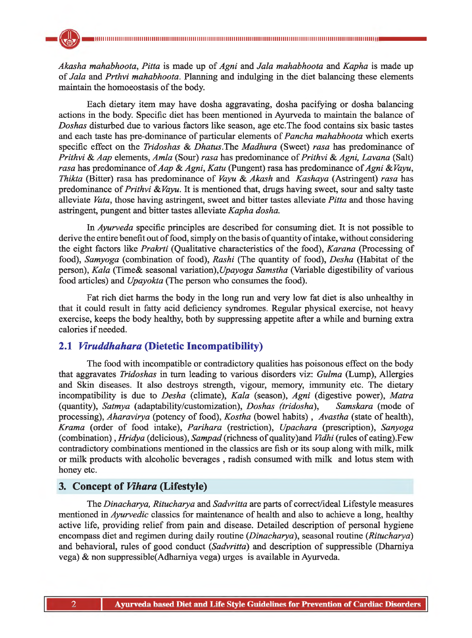*Akasha mahabhoota, Pitta* is made up of *Agni* and *Jala mahabhoota* and *Kapha* is made up of *Jala* and *Prthvi mahabhoota.* Planning and indulging in the diet balancing these elements maintain the homoeostasis of the body.

Each dietary item may have dosha aggravating, dosha pacifying or dosha balancing actions in the body. Specific diet has been mentioned in Ayurveda to maintain the balance of *Doshas* disturbed due to various factors like season, age etc.The food contains six basic tastes and each taste has pre-dominance of particular elements of *Pancha mahabhoota* which exerts specific effect on the *Tridoshas & Dhatus.*The *Madhura* (Sweet) *rasa* has predominance of *Prithvi* & *Aap* elements, *Amla* (Sour) *rasa* has predominance of *Prithvi* & *Agni, Lavana* (Salt) *rasa* has predominance of *Aap* & *Agni, Katu* (Pungent) rasa has predominance of *Agni & Vayu, Thikta* (Bitter) rasa has predominance of *Vayu* & *Akash* and *Kashaya* (Astringent) *rasa* has predominance of *Prithvi & Vayu.* It is mentioned that, drugs having sweet, sour and salty taste alleviate *Vata,* those having astringent, sweet and bitter tastes alleviate *Pitta* and those having astringent, pungent and bitter tastes alleviate *Kapha dosha.*

In *Ayurveda* specific principles are described for consuming diet. It is not possible to derive the entire benefit out of food, simply on the basis of quantity of intake, without considering the eight factors like *Prakrti* (Qualitative characteristics of the food), *Karana* (Processing of food), *Samyoga* (combination of food), *Rashi* (The quantity of food), *Desha* (Habitat of the person), *Kala* (Time& seasonal variation), *Upayoga Samstha* (Variable digestibility of various food articles) and *Upayokta* (The person who consumes the food).

Fat rich diet harms the body in the long run and very low fat diet is also unhealthy in that it could result in fatty acid deficiency syndromes. Regular physical exercise, not heavy exercise, keeps the body healthy, both by suppressing appetite after a while and burning extra calories if needed.

# **2.1** *Viruddhahara* **(Dietetic Incompatibility)**

The food with incompatible or contradictory qualities has poisonous effect on the body that aggravates *Tridoshas* in turn leading to various disorders viz: *Gulma* (Lump), Allergies and Skin diseases. It also destroys strength, vigour, memory, immunity etc. The dietary incompatibility is due to *Desha* (climate), *Kala* (season), *Agni* (digestive power), *Matra* (quantity), *Satmya* (adaptability/customization), *Doshas (tridosha), Samskara* (mode of processing), *Aharavirya* (potency of food), *Kostha* (bowel habits) , *Avastha* (state of health), *Krama* (order of food intake), *Parihara* (restriction), *Upachara* (prescription), *Sanyoga* (combination) , *Hridya* (delicious), *Sampad* (richness of quality)and *Vidhi* (rules of eating).Few contradictory combinations mentioned in the classics are fish or its soup along with milk, milk or milk products with alcoholic beverages , radish consumed with milk and lotus stem with honey etc.

## **3. Concept of** *Vihara* **(Lifestyle)**

The *Dinacharya, Ritucharya* and *Sadvritta* are parts of correct/ideal Lifestyle measures mentioned in *Ayurvedic* classics for maintenance of health and also to achieve a long, healthy active life, providing relief from pain and disease. Detailed description of personal hygiene encompass diet and regimen during daily routine (*Dinacharya*), seasonal routine (*Ritucharya*) and behavioral, rules of good conduct *(Sadvritta)* and description of suppressible (Dhamiya vega) & non suppressible(Adhamiya vega) urges is available in Ayurveda.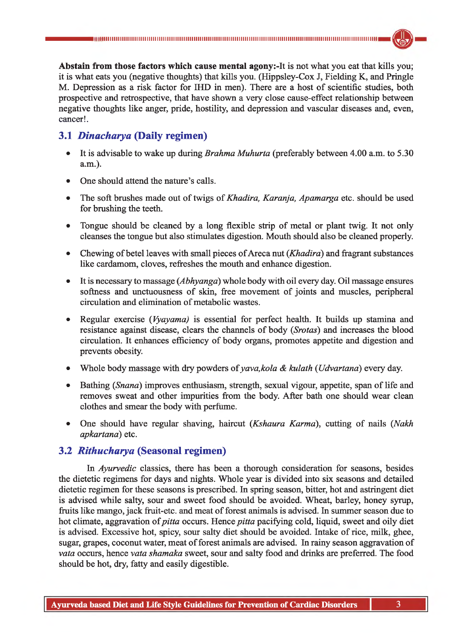**Abstain from those factors which cause mental agony:-It** is not what you eat that kills you; it is what eats you (negative thoughts) that kills you. (Hippsley-Cox J, Fielding K, and Pringle M. Depression as a risk factor for IHD in men). There are a host of scientific studies, both prospective and retrospective, that have shown a very close cause-effect relationship between negative thoughts like anger, pride, hostility, and depression and vascular diseases and, even, cancer!.

# **3.1** *Dinacharya* **(Daily regimen)**

- It is advisable to wake up during *Brahma Muhurta* (preferably between 4.00 a.m. to 5.30 a.m.).
- One should attend the nature's calls.
- The soft brushes made out of twigs of *Khadira, Karanja, Apamarga* etc. should be used for brushing the teeth.
- Tongue should be cleaned by a long flexible strip of metal or plant twig. It not only cleanses the tongue but also stimulates digestion. Mouth should also be cleaned properly.
- Chewing of betel leaves with small pieces of Areca nut (*Khadira*) and fragrant substances like cardamom, cloves, refreshes the mouth and enhance digestion.
- It is necessary to massage (*Abhyanga*) whole body with oil every day. Oil massage ensures softness and unctuousness of skin, free movement of joints and muscles, peripheral circulation and elimination of metabolic wastes.
- Regular exercise (*Vyayama)* is essential for perfect health. It builds up stamina and resistance against disease, clears the channels of body (*Srotas*) and increases the blood circulation. It enhances efficiency of body organs, promotes appetite and digestion and prevents obesity.
- Whole body massage with dry powders *of yava,kola & kulath* (*Udvartana*) every day.
- Bathing (*Snana*) improves enthusiasm, strength, sexual vigour, appetite, span of life and removes sweat and other impurities from the body. After bath one should wear clean clothes and smear the body with perfume.
- One should have regular shaving, haircut (*Kshaura Karma),* cutting of nails (*Nakh apkartana*) etc.

# **3.2** *Rithucharya* **(Seasonal regimen)**

In *Ayurvedic* classics, there has been a thorough consideration for seasons, besides the dietetic regimens for days and nights. Whole year is divided into six seasons and detailed dietetic regimen for these seasons is prescribed. In spring season, bitter, hot and astringent diet is advised while salty, sour and sweet food should be avoided. Wheat, barley, honey syrup, fruits like mango, jack fruit-etc. and meat of forest animals is advised. In summer season due to hot climate, aggravation of *pitta* occurs. Hence *pitta* pacifying cold, liquid, sweet and oily diet is advised. Excessive hot, spicy, sour salty diet should be avoided. Intake of rice, milk, ghee, sugar, grapes, coconut water, meat of forest animals are advised. In rainy season aggravation of *vata* occurs, hence *vata shamaka* sweet, sour and salty food and drinks are preferred. The food should be hot, dry, fatty and easily digestible.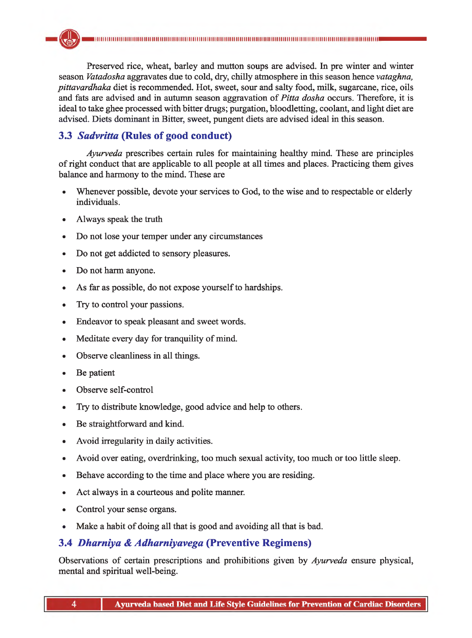Preserved rice, wheat, barley and mutton soups are advised. In pre winter and winter season *Vatadosha* aggravates due to cold, dry, chilly atmosphere in this season hence *vataghna, pittavardhaka* diet is recommended. Hot, sweet, sour and salty food, milk, sugarcane, rice, oils and fats are advised and in autumn season aggravation of *Pitta dosha* occurs. Therefore, it is ideal to take ghee processed with bitter drugs; purgation, bloodletting, coolant, and light diet are advised. Diets dominant in Bitter, sweet, pungent diets are advised ideal in this season.

# **3.3** *Sadvritta* **(Rules of good conduct)**

*Ayurveda* prescribes certain rules for maintaining healthy mind. These are principles of right conduct that are applicable to all people at all times and places. Practicing them gives balance and harmony to the mind. These are

- Whenever possible, devote your services to God, to the wise and to respectable or elderly individuals.
- Always speak the truth
- Do not lose your temper under any circumstances
- Do not get addicted to sensory pleasures.
- Do not harm anyone.
- As far as possible, do not expose yourself to hardships.
- Try to control your passions.
- Endeavor to speak pleasant and sweet words.
- Meditate every day for tranquility of mind.
- Observe cleanliness in all things.
- Be patient
- Observe self-control
- Try to distribute knowledge, good advice and help to others.
- Be straightforward and kind.
- Avoid irregularity in daily activities.
- Avoid over eating, overdrinking, too much sexual activity, too much or too little sleep.
- Behave according to the time and place where you are residing.
- Act always in a courteous and polite manner.
- Control your sense organs.
- Make a habit of doing all that is good and avoiding all that is bad.

# **3.4** *Dharniya & Adharniyavega* **(Preventive Regimens)**

Observations of certain prescriptions and prohibitions given by *Ayurveda* ensure physical, mental and spiritual well-being.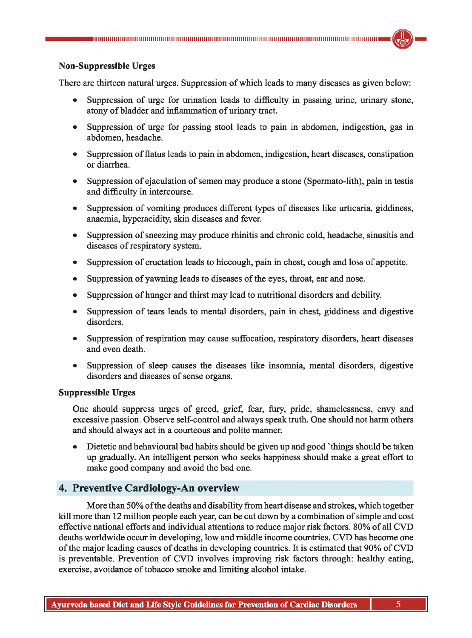#### **Non-Suppressible Urges**

There are thirteen natural urges. Suppression of which leads to many diseases as given below:

- Suppression of urge for urination leads to difficulty in passing urine, urinary stone, atony of bladder and inflammation of urinary tract.
- Suppression of urge for passing stool leads to pain in abdomen, indigestion, gas in abdomen, headache.
- Suppression of flatus leads to pain in abdomen, indigestion, heart diseases, constipation or diarrhea.
- Suppression of ejaculation of semen may produce a stone (Spermato-lith), pain in testis and difficulty in intercourse.
- Suppression of vomiting produces different types of diseases like urticaria, giddiness, anaemia, hyperacidity, skin diseases and fever.
- Suppression of sneezing may produce rhinitis and chronic cold, headache, sinusitis and diseases of respiratory system.
- Suppression of eructation leads to hiccough, pain in chest, cough and loss of appetite.
- Suppression of yawning leads to diseases of the eyes, throat, ear and nose.
- Suppression of hunger and thirst may lead to nutritional disorders and debility.
- Suppression of tears leads to mental disorders, pain in chest, giddiness and digestive disorders.
- Suppression of respiration may cause suffocation, respiratory disorders, heart diseases and even death.
- Suppression of sleep causes the diseases like insomnia, mental disorders, digestive disorders and diseases of sense organs.

#### **Suppressible Urges**

One should suppress urges of greed, grief, fear, fury, pride, shamelessness, envy and excessive passion. Observe self-control and always speak truth. One should not harm others and should always act in a courteous and polite manner.

• Dietetic and behavioural bad habits should be given up and good 'things should be taken up gradually. An intelligent person who seeks happiness should make a great effort to make good company and avoid the bad one.

## **4. Preventive Cardiology-An overview**

More than 50% of the deaths and disability from heart disease and strokes, which together kill more than 12 million people each year, can be cut down by a combination of simple and cost effective national efforts and individual attentions to reduce major risk factors. 80% of all CVD deaths worldwide occur in developing, low and middle income countries. CVD has become one of the major leading causes of deaths in developing countries. It is estimated that 90% of CVD is preventable. Prevention of CVD involves improving risk factors through: healthy eating, exercise, avoidance of tobacco smoke and limiting alcohol intake.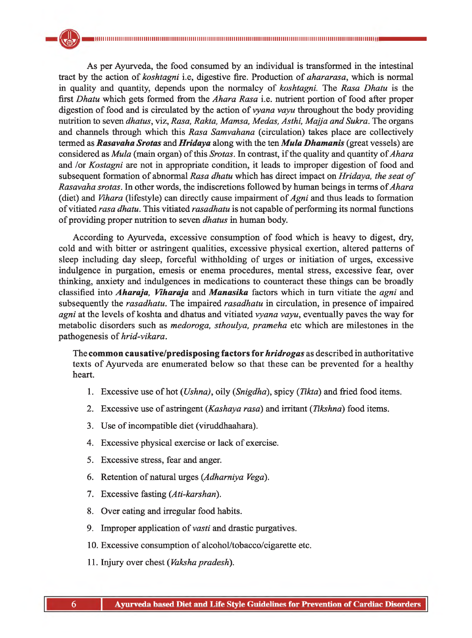As per Ayurveda, the food consumed by an individual is transformed in the intestinal tract by the action of *koshtagni* i.e, digestive fire. Production of *ahararasa,* which is normal in quality and quantity, depends upon the normalcy of *koshtagni.* The *Rasa Dhatu* is the first *Dhatu* which gets formed from the *Ahara Rasa* i.e. nutrient portion of food after proper digestion of food and is circulated by the action of *vyana vayu* throughout the body providing nutrition to seven *dhatus,* viz, *Rasa, Rakta, Mamsa, Medas, Asthi, Majja and Sukra.* The organs and channels through which this *Rasa Samvahana* (circulation) takes place are collectively termed as *Rasavaha Srotas* and *Hridaya* along with the ten *Mula Dhamanis* (great vessels) are considered as *Mula* (main organ) of this *Srotas.* In contrast, if the quality and quantity of *Ahara* and /or *Kostagni* are not in appropriate condition, it leads to improper digestion of food and subsequent formation of abnormal *Rasa dhatu* which has direct impact on *Hridaya, the seat of Rasavaha srotas.* In other words, the indiscretions followed by human beings in terms of *Ahara* (diet) and *Vihara* (lifestyle) can directly cause impairment of *Agni* and thus leads to formation of vitiated *rasa dhatu.* This vitiated *rasadhatu* is not capable of performing its normal functions of providing proper nutrition to seven *dhatus* in human body.

According to Ayurveda, excessive consumption of food which is heavy to digest, dry, cold and with bitter or astringent qualities, excessive physical exertion, altered patterns of sleep including day sleep, forceful withholding of urges or initiation of urges, excessive indulgence in purgation, emesis or enema procedures, mental stress, excessive fear, over thinking, anxiety and indulgences in medications to counteract these things can be broadly classified into *Aharaja, Viharaja* and *Manasika* factors which in turn vitiate the *agni* and subsequently the *rasadhatu.* The impaired *rasadhatu* in circulation, in presence of impaired *agni* at the levels of koshta and dhatus and vitiated *vyana vayu,* eventually paves the way for metabolic disorders such as *medoroga, sthoulya, prameha* etc which are milestones in the pathogenesis of *hrid-vikara.*

The **common causative/predisposing factors for** *hridrogas* as described in authoritative texts of Ayurveda are enumerated below so that these can be prevented for a healthy heart.

- 1. Excessive use of hot (*Ushna),* oily (*Snigdha*), spicy (*Iikta)* and fried food items.
- 2. Excessive use of astringent (*Kashaya rasa)* and irritant (*Tikshna*) food items.
- 3. Use of incompatible diet (viruddhaahara).
- 4. Excessive physical exercise or lack of exercise.
- 5. Excessive stress, fear and anger.
- 6. Retention of natural urges (*Adharniya Vega).*
- 7. Excessive fasting *(Ati-karshari).*
- 8. Over eating and irregular food habits.
- 9. Improper application of *vasti* and drastic purgatives.
- 10. Excessive consumption of alcohol/tobacco/cigarette etc.
- 11. Injury over chest ( *Vaksha pradesh).*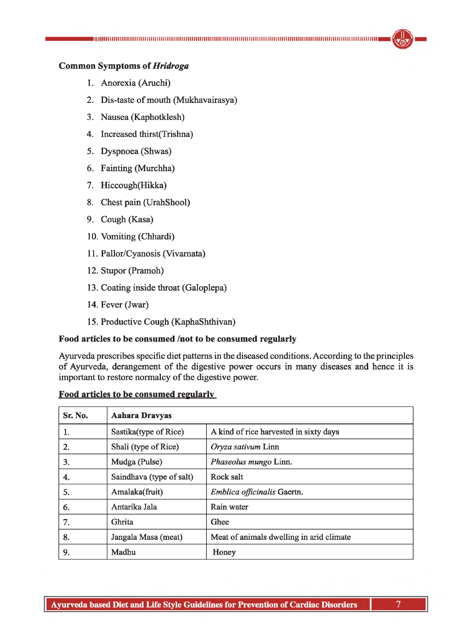# **Common Symptoms of** *Hridroga*

- 1. Anorexia (Aruchi)
- 2. Dis-taste of mouth (Mukhavairasya)
- 3. Nausea (Kaphotklesh)
- 4. Increased thirst(Trishna)
- 5. Dyspnoea (Shwas)
- 6. Fainting (Murchha)
- 7. Hiccough(Hikka)
- 8. Chest pain (UrahShool)
- 9. Cough (Kasa)
- 10. Vomiting (Chhardi)
- 11. Pallor/Cyanosis (Vivamata)
- 12. Stupor (Pramoh)
- 13. Coating inside throat (Galoplepa)
- 14. Fever (Jwar)
- 15. Productive Cough (KaphaShthivan)

#### **Food articles to be consumed /not to be consumed regularly**

Ayurveda prescribes specific diet patterns in the diseased conditions. According to the principles of Ayurveda, derangement of the digestive power occurs in many diseases and hence it is important to restore normalcy of the digestive power.

#### **Food articles to be consumed regularly**

| Sr. No. | <b>Aahara Dravyas</b>    |                                          |
|---------|--------------------------|------------------------------------------|
| 1.      | Sastika(type of Rice)    | A kind of rice harvested in sixty days   |
| 2.      | Shali (type of Rice)     | Oryza sativum Linn                       |
| 3.      | Mudga (Pulse)            | Phaseolus mungo Linn.                    |
| 4.      | Saindhava (type of salt) | Rock salt                                |
| 5.      | Amalaka(fruit)           | Emblica officinalis Gaertn.              |
| 6.      | Antarika Jala            | Rain water                               |
| 7.      | Ghrita                   | Ghee                                     |
| 8.      | Jangala Masa (meat)      | Meat of animals dwelling in arid climate |
| 9.      | Madhu                    | Honey                                    |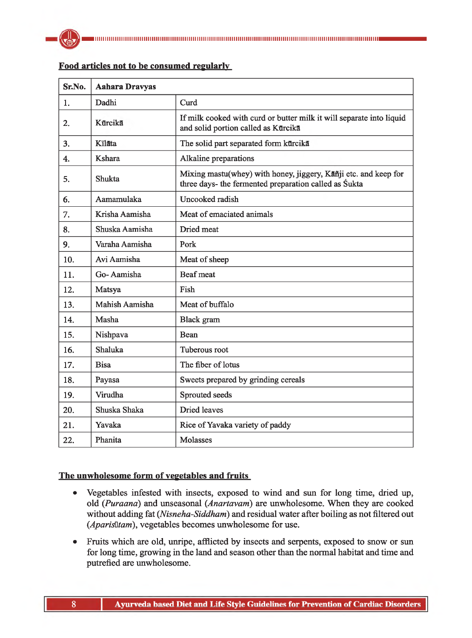

| Sr.No.           | <b>Aahara Dravyas</b> |                                                                                                                          |
|------------------|-----------------------|--------------------------------------------------------------------------------------------------------------------------|
| $\mathbf{1}$ .   | Dadhi                 | Curd                                                                                                                     |
| $\overline{2}$ . | Kūrcikā               | If milk cooked with curd or butter milk it will separate into liquid<br>and solid portion called as Kurcika              |
| 3.               | Kīlāta                | The solid part separated form kurcika                                                                                    |
| $\overline{4}$ . | Kshara                | Alkaline preparations                                                                                                    |
| 5.               | Shukta                | Mixing mastu(whey) with honey, jiggery, Kañji etc. and keep for<br>three days- the fermented preparation called as Sukta |
| 6.               | Aamamulaka            | Uncooked radish                                                                                                          |
| 7.               | Krisha Aamisha        | Meat of emaciated animals                                                                                                |
| 8.               | Shuska Aamisha        | Dried meat                                                                                                               |
| 9.               | Varaha Aamisha        | Pork                                                                                                                     |
| 10.              | Avi Aamisha           | Meat of sheep                                                                                                            |
| 11.              | Go-Aamisha            | Beaf meat                                                                                                                |
| 12.              | Matsya                | Fish                                                                                                                     |
| 13.              | Mahish Aamisha        | Meat of buffalo                                                                                                          |
| 14.              | Masha                 | Black gram                                                                                                               |
| 15.              | Nishpava              | <b>Bean</b>                                                                                                              |
| 16.              | Shaluka               | Tuberous root                                                                                                            |
| 17.              | <b>Bisa</b>           | The fiber of lotus                                                                                                       |
| 18.              | Payasa                | Sweets prepared by grinding cereals                                                                                      |
| 19.              | Virudha               | Sprouted seeds                                                                                                           |
| 20.              | Shuska Shaka          | Dried leaves                                                                                                             |
| 21.              | Yavaka                | Rice of Yavaka variety of paddy                                                                                          |
| 22.              | Phanita               | Molasses                                                                                                                 |

#### **Food articles not to be consumed regularly**

### **The unwholesome form of vegetables and fruits**

- Vegetables infested with insects, exposed to wind and sun for long time, dried up, old (*Puraana*) and unseasonal (*Anartavam*) are unwholesome. When they are cooked without adding fat (*Nisneha-Siddham*) and residual water after boiling as not filtered out (*Aparis*themax, vegetables becomes unwholesome for use.
- Fruits which are old, unripe, afflicted by insects and serpents, exposed to snow or sun for long time, growing in the land and season other than the normal habitat and time and putrefied are unwholesome.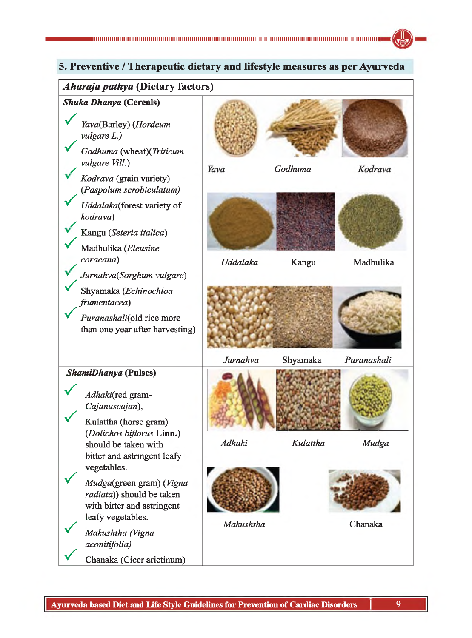# **5. Preventive / Therapeutic dietary and lifestyle measures as per Ayurveda**

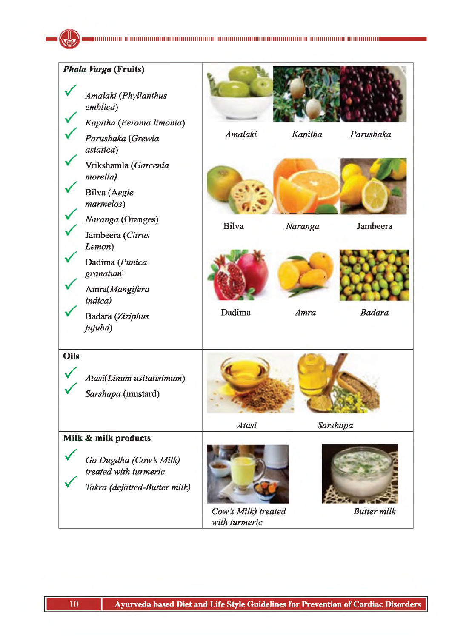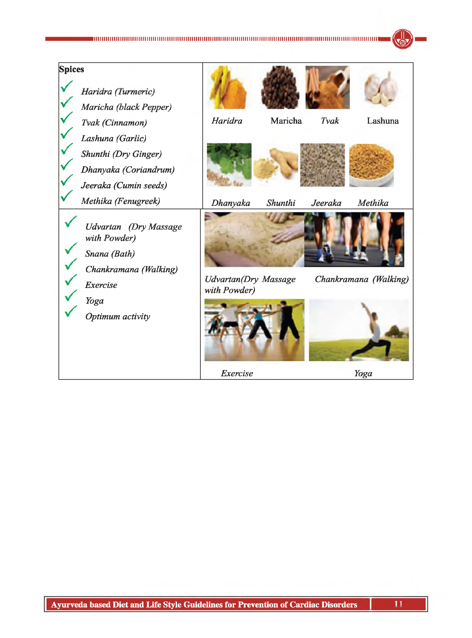| <b>Spices</b><br>Haridra (Turmeric)<br>Maricha (black Pepper)                                                 |                       |                                              |         |         |                       |
|---------------------------------------------------------------------------------------------------------------|-----------------------|----------------------------------------------|---------|---------|-----------------------|
| Tvak (Cinnamon)<br>Lashuna (Garlic)<br>Shunthi (Dry Ginger)<br>Dhanyaka (Coriandrum)<br>Jeeraka (Cumin seeds) |                       | Haridra                                      | Maricha | Tvak    | Lashuna               |
| Methika (Fenugreek)<br>with Powder)<br>Snana (Bath)                                                           | Udvartan (Dry Massage | Dhanyaka                                     | Shunthi | Jeeraka | Methika               |
| Exercise<br>Yoga<br>Optimum activity                                                                          | Chankramana (Walking) | <b>Udvartan</b> (Dry Massage<br>with Powder) |         |         | Chankramana (Walking) |
|                                                                                                               |                       | Exercise                                     |         |         | Yoga                  |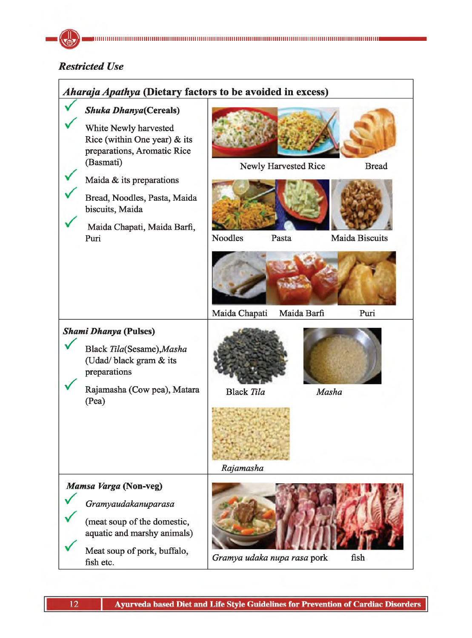# *Restricted Use*

| Aharaja Apathya (Dietary factors to be avoided in excess)                                                                                                                                                            |                                |                      |                       |  |
|----------------------------------------------------------------------------------------------------------------------------------------------------------------------------------------------------------------------|--------------------------------|----------------------|-----------------------|--|
| <b>Shuka Dhanya</b> (Cereals)<br>White Newly harvested<br>Rice (within One year) $\&$ its<br>preparations, Aromatic Rice<br>(Basmati)<br>Maida & its preparations<br>Bread, Noodles, Pasta, Maida<br>biscuits, Maida |                                | Newly Harvested Rice | <b>Bread</b>          |  |
| Maida Chapati, Maida Barfi,<br>Puri                                                                                                                                                                                  | <b>Noodles</b>                 | Pasta                | <b>Maida Biscuits</b> |  |
|                                                                                                                                                                                                                      | Maida Chapati                  | Maida Barfi          | Puri                  |  |
| <b>Shami Dhanya (Pulses)</b>                                                                                                                                                                                         |                                |                      |                       |  |
| Black Tila(Sesame), Masha<br>(Udad/black gram & its<br>preparations                                                                                                                                                  |                                |                      |                       |  |
| Rajamasha (Cow pea), Matara<br>(Pea)                                                                                                                                                                                 | <b>Black Tila</b><br>Rajamasha |                      | Masha                 |  |
| Mamsa Varga (Non-veg)<br>Gramyaudakanuparasa<br>(meat soup of the domestic,<br>aquatic and marshy animals)<br>Meat soup of pork, buffalo,<br>fish etc.                                                               | Gramya udaka nupa rasa pork    |                      | fish                  |  |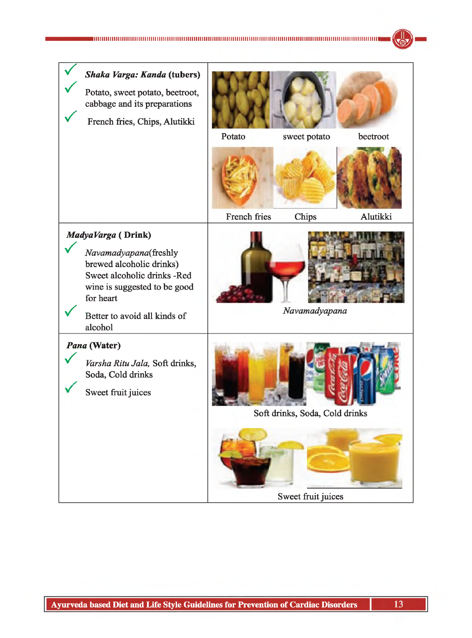| Shaka Varga: Kanda (tubers)<br>Potato, sweet potato, beetroot,<br>cabbage and its preparations<br>French fries, Chips, Alutikki                                                     | Potato       | sweet potato                   | beetroot |
|-------------------------------------------------------------------------------------------------------------------------------------------------------------------------------------|--------------|--------------------------------|----------|
|                                                                                                                                                                                     |              |                                |          |
|                                                                                                                                                                                     |              |                                |          |
|                                                                                                                                                                                     | French fries | Chips                          | Alutikki |
| MadyaVarga (Drink)<br>Navamadyapana(freshly<br>brewed alcoholic drinks)<br>Sweet alcoholic drinks -Red<br>wine is suggested to be good<br>for heart<br>Better to avoid all kinds of |              | Navamadyapana                  |          |
| alcohol                                                                                                                                                                             |              |                                |          |
| Pana (Water)<br>Varsha Ritu Jala, Soft drinks,<br>Soda, Cold drinks<br>Sweet fruit juices                                                                                           |              | Soft drinks, Soda, Cold drinks |          |
|                                                                                                                                                                                     |              |                                |          |
|                                                                                                                                                                                     |              | Sweet fruit juices             |          |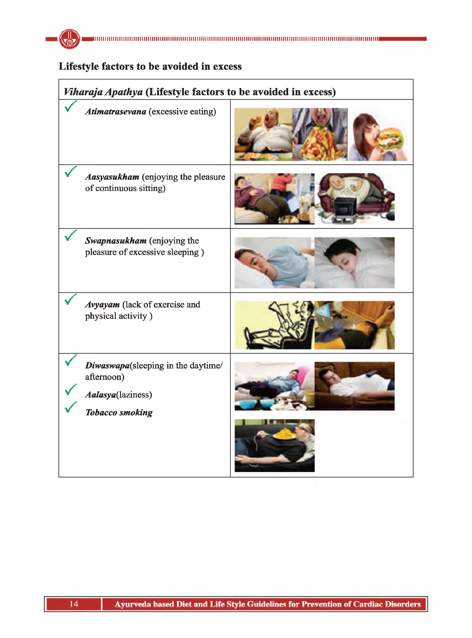

# **Lifestyle factors to be avoided in excess**

| Viharaja Apathya (Lifestyle factors to be avoided in excess)                                    |  |  |  |
|-------------------------------------------------------------------------------------------------|--|--|--|
| Atimatrasevana (excessive eating)                                                               |  |  |  |
| Aasyasukham (enjoying the pleasure<br>of continuous sitting)                                    |  |  |  |
| Swapnasukham (enjoying the<br>pleasure of excessive sleeping)                                   |  |  |  |
| Avyayam (lack of exercise and<br>physical activity)                                             |  |  |  |
| Diwaswapa(sleeping in the daytime/<br>afternoon)<br>Aalasya(laziness)<br><b>Tobacco smoking</b> |  |  |  |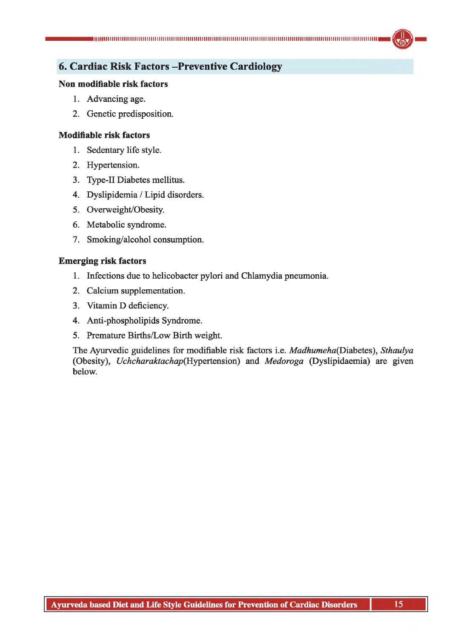# **6. Cardiac Risk Factors -Preventive Cardiology**

#### **Non modifiable risk factors**

- 1. Advancing age.
- 2. Genetic predisposition.

#### **Modifiable risk factors**

- 1. Sedentary life style.
- 2. Hypertension.
- 3. Type-II Diabetes mellitus.
- 4. Dyslipidemia / Lipid disorders.
- 5. Overweight/Obesity.
- 6. Metabolic syndrome.
- 7. Smoking/alcohol consumption.

## **Emerging risk factors**

- 1. Infections due to helicobacter pylori and Chlamydia pneumonia.
- 2. Calcium supplementation.
- 3. Vitamin D deficiency.
- 4. Anti-phospholipids Syndrome.
- 5. Premature Births/Low Birth weight.

The Ayurvedic guidelines for modifiable risk factors i.e. *Madhumeha(Diabetes), Sthaulya* (Obesity), *Uchcharaktachap(Hypertension)* and *Medoroga* (Dyslipidaemia) are given below.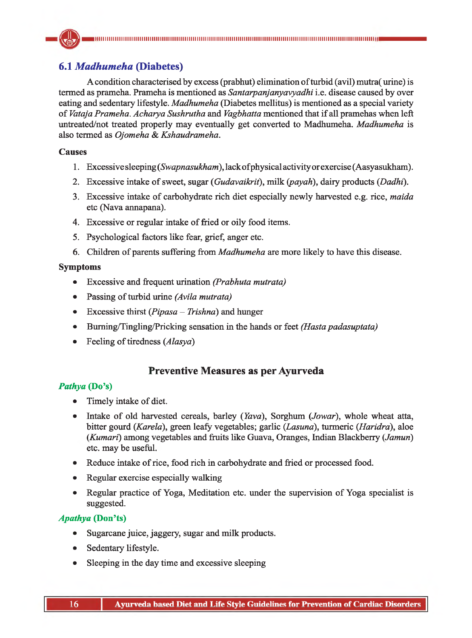# **6.1** *Madhumeha* **(Diabetes)**

A condition characterised by excess (prabhut) elimination of turbid (avil) mutra( urine) is termed as prameha. Prameha is mentioned as *Santarpanjanyavyadhi* i.e. disease caused by over eating and sedentary lifestyle. *Madhumeha* (Diabetes mellitus) is mentioned as a special variety of *Vataja Prameha. Acharya Sushrutha* and *Vagbhatta* mentioned that if all pramehas when left untreated/not treated properly may eventually get converted to Madhumeha. *Madhumeha* is also termed as *Ojomeha & Kshaudrameha.*

# **Causes**

- 1. Excessive sleeping (*Swapnasukham*), lack of physical activity or exercise (Aasyasukham).
- 2. Excessive intake of sweet, sugar (*Gudavaikrit*), milk *(payah),* dairy products (*Dadhi).*
- 3. Excessive intake of carbohydrate rich diet especially newly harvested e.g. rice, *maida* etc (Nava annapana).
- 4. Excessive or regular intake of fried or oily food items.
- 5. Psychological factors like fear, grief, anger etc.
- 6. Children of parents suffering from *Madhumeha* are more likely to have this disease.

# **Symptoms**

- Excessive and frequent urination *(Prabhuta mutrata)*
- Passing of turbid urine *(Avila mutrata)*
- Excessive thirst (*Pipasa Trishna*) and hunger
- Buming/Tingling/Pricking sensation in the hands or feet *(Hasta padasuptata)*
- Feeling of tiredness (*Alasya*)

# **Preventive Measures as per Ayurveda**

## *Pathya* **(Do's)**

- Timely intake of diet.
- Intake of old harvested cereals, barley (*Yava*), Sorghum (*Jowar*), whole wheat atta, bitter gourd (*Karela*), green leafy vegetables; garlic *(Lasuna),* turmeric (*Haridra*), aloe (*Kumari*) among vegetables and fruits like Guava, Oranges, Indian Blackberry (*Jamun*) etc. may be useful.
- Reduce intake of rice, food rich in carbohydrate and fried or processed food.
- Regular exercise especially walking
- Regular practice of Yoga, Meditation etc. under the supervision of Yoga specialist is suggested.

# *Apathya* **(Don'ts)**

- Sugarcane juice, jaggery, sugar and milk products.
- Sedentary lifestyle.
- Sleeping in the day time and excessive sleeping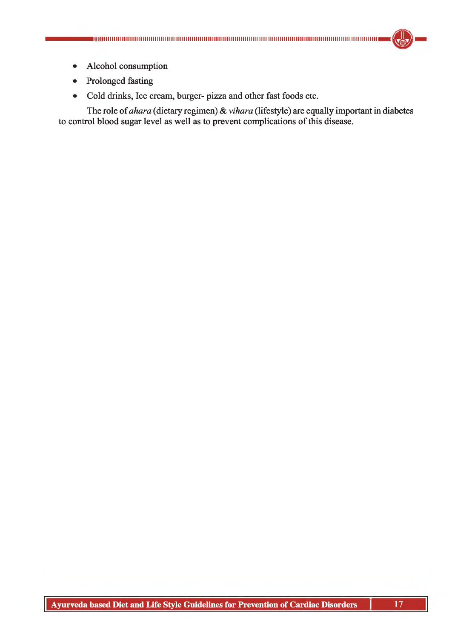

- Alcohol consumption
- Prolonged fasting
- Cold drinks, Ice cream, burger- pizza and other fast foods etc.

The role of *ahara* (dietary regimen) & *vihara* (lifestyle) are equally important in diabetes to control blood sugar level as well as to prevent complications of this disease.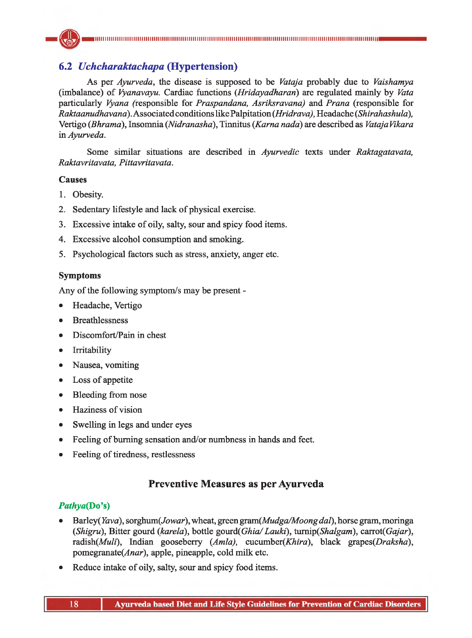# **6.2** *Uchcharaktachapa* **(Hypertension)**

As per *Ayurveda,* the disease is supposed to be *Vataja* probably due to *Vaishamya* (imbalance) of *Vyanavayu.* Cardiac functions (*Hridayadharan*) are regulated mainly by *Vata* particularly *Vyana* (responsible for *Praspandana, Asriksravana)* and *Prana* (responsible for *Raktaanudhavand).* Associated conditions like Palpitation *(Hridrava),* Headache *(Shirahashula),* Vertigo *(Bhrama),* Insomnia (*Nidranasha*), Tinnitus (*Kama nada)* are described as *VatajaVikara* in *Ayurveda.*

Some similar situations are described in *Ayurvedic* texts under *Raktagatavata, Raktavritavata, Pittavritavata.*

# **Causes**

- 1. Obesity.
- 2. Sedentary lifestyle and lack of physical exercise.
- 3. Excessive intake of oily, salty, sour and spicy food items.
- 4. Excessive alcohol consumption and smoking.
- 5. Psychological factors such as stress, anxiety, anger etc.

# **Symptoms**

Any of the following symptom/s may be present -

- Headache, Vertigo
- Breathlessness
- Discomfort/Pain in chest
- Irritability
- Nausea, vomiting
- Loss of appetite
- Bleeding from nose
- Haziness of vision
- Swelling in legs and under eyes
- Feeling of burning sensation and/or numbness in hands and feet.
- Feeling of tiredness, restlessness

# **Preventive Measures as per Ayurveda**

# *Pathya{***Do's)**

- Barley(Kzva), sorghum( Jowar), wheat, green *gram(Mudga/Moongdat),* horse gram, moringa (*Shigru*), Bitter gourd *(karela),* bottle gourd*(Ghia/ Lauki),* turnip*(Shalgam),* carrot*(Gajar),* radish(Muli), Indian gooseberry (Amla), cucumber(Khira), black grapes(Draksha),  $p$ omegranate(*Anar*), apple, pineapple, cold milk etc.
- Reduce intake of oily, salty, sour and spicy food items.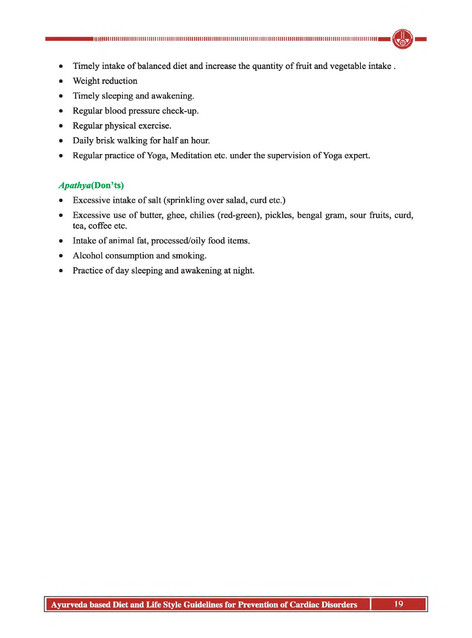- Timely intake of balanced diet and increase the quantity of fruit and vegetable intake .
- Weight reduction
- Timely sleeping and awakening.
- Regular blood pressure check-up.
- Regular physical exercise.
- Daily brisk walking for half an hour.
- Regular practice of Yoga, Meditation etc. under the supervision of Yoga expert.

# *Apathya(Don't%)*

- *•* Excessive intake of salt (sprinkling over salad, curd etc.)
- Excessive use of butter, ghee, chilies (red-green), pickles, bengal gram, sour fruits, curd, tea, coffee etc.
- Intake of animal fat, processed/oily food items.
- Alcohol consumption and smoking.
- Practice of day sleeping and awakening at night.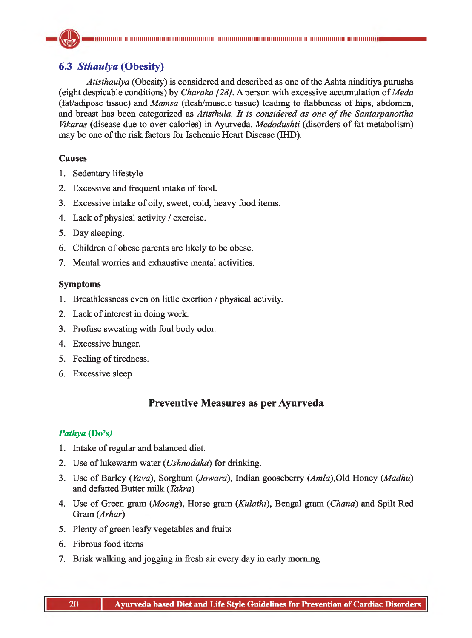# **6.3** *Sthaulya* **(Obesity)**

*Atisthaulya* (Obesity) is considered and described as one of the Ashta ninditiya purusha (eight despicable conditions) by *Charaka [28].* A person with excessive accumulation of *Meda* (fat/adipose tissue) and *Mamsa* (flesh/muscle tissue) leading to flabbiness of hips, abdomen, and breast has been categorized as *Atisthula. It is considered as one of the Santarpanottha Vikaras* (disease due to over calories) in Ayurveda. *Medodushti* (disorders of fat metabolism) may be one of the risk factors for Ischemic Heart Disease (IHD).

# **Causes**

- 1. Sedentary lifestyle
- 2. Excessive and frequent intake of food.
- 3. Excessive intake of oily, sweet, cold, heavy food items.
- 4. Lack of physical activity / exercise.
- 5. Day sleeping.
- 6. Children of obese parents are likely to be obese.
- 7. Mental worries and exhaustive mental activities.

# **Symptoms**

- 1. Breathlessness even on little exertion / physical activity.
- 2. Lack of interest in doing work.
- 3. Profuse sweating with foul body odor.
- 4. Excessive hunger.
- 5. Feeling of tiredness.
- 6. Excessive sleep.

# **Preventive Measures as per Ayurveda**

# *Pathya* **(Do's,)**

- 1. Intake of regular and balanced diet.
- 2. Use of lukewarm water (*Ushnodaka*) for drinking.
- 3. Use of Barley *(Yava)*, Sorghum *(Jowara)*, Indian gooseberry *(Amla)*,Old Honey *(Madhu)* and defatted Butter milk (*Takra)*
- 4. Use of Green gram *(Moong),* Horse gram (*Kulathi*), Bengal gram (*Ghana*) and Spilt Red Gram (*Arhar*)
- 5. Plenty of green leafy vegetables and fruits
- 6. Fibrous food items
- 7. Brisk walking and jogging in fresh air every day in early morning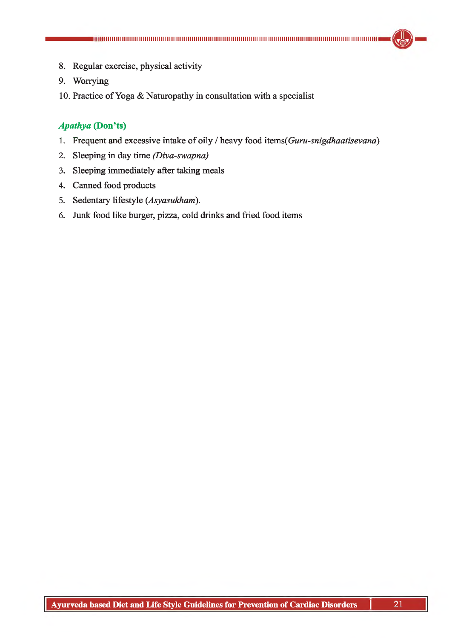- 8. Regular exercise, physical activity
- 9. Worrying
- 10. Practice of Yoga & Naturopathy in consultation with a specialist

## *Apathy a* **(Don'ts)**

- 1. Frequent and excessive intake of oily / heavy food *items(Guru-snigdhaatisevana*)
- 2. Sleeping in day time *(Diva-swapna)*
- 3. Sleeping immediately after taking meals
- 4. Canned food products
- 5. Sedentary lifestyle (*Asyasukham*).
- 6. Junk food like burger, pizza, cold drinks and fried food items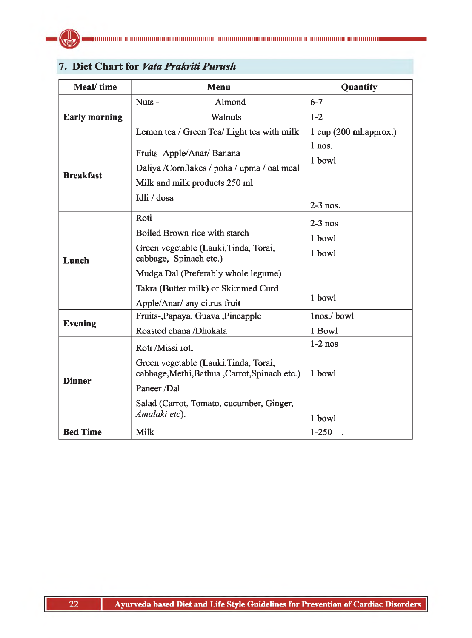

| <b>Meal/time</b>     | <b>Menu</b>                                                                                                | Quantity                                        |
|----------------------|------------------------------------------------------------------------------------------------------------|-------------------------------------------------|
|                      | Nuts-<br>Almond                                                                                            | $6 - 7$                                         |
| <b>Early morning</b> | Walnuts                                                                                                    | $1 - 2$                                         |
|                      | Lemon tea / Green Tea / Light tea with milk                                                                | $1 \text{ cup} (200 \text{ ml}.\text{approx.})$ |
| <b>Breakfast</b>     | Fruits-Apple/Anar/Banana<br>Daliya /Cornflakes / poha / upma / oat meal<br>Milk and milk products 250 ml   | $1$ nos.<br>1 bowl                              |
|                      | Idli / dosa                                                                                                | $2-3$ nos.                                      |
| Lunch                | Roti<br>Boiled Brown rice with starch<br>Green vegetable (Lauki, Tinda, Torai,<br>cabbage, Spinach etc.)   | $2-3$ nos<br>1 bowl<br>1 bowl                   |
|                      | Mudga Dal (Preferably whole legume)<br>Takra (Butter milk) or Skimmed Curd<br>Apple/Anar/ any citrus fruit | 1 bowl                                          |
| <b>Evening</b>       | Fruits-, Papaya, Guava, Pineapple<br>Roasted chana /Dhokala                                                | 1nos./bowl<br>1 Bowl                            |
|                      | Roti /Missi roti                                                                                           | $1-2$ nos                                       |
| <b>Dinner</b>        | Green vegetable (Lauki, Tinda, Torai,<br>cabbage, Methi, Bathua, Carrot, Spinach etc.)<br>Paneer /Dal      | 1 bowl                                          |
|                      | Salad (Carrot, Tomato, cucumber, Ginger,<br>Amalaki etc).                                                  | 1 bowl                                          |
| <b>Bed Time</b>      | Milk                                                                                                       | $1 - 250$                                       |

# **7. Diet Chart for** *Vata Prakriti Purush*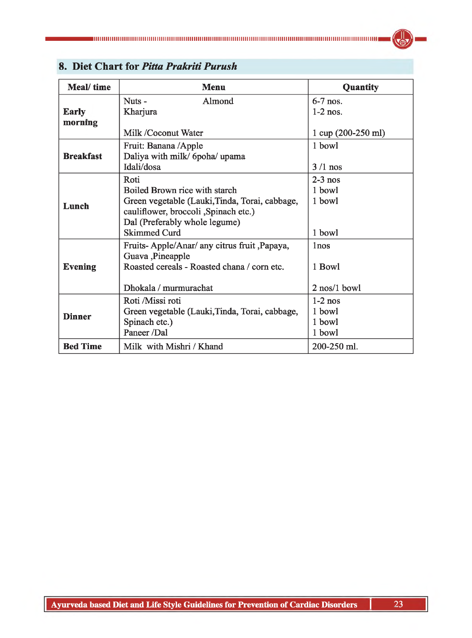| Meal/time               | <b>Menu</b>                                                                                                                                                                              | Quantity                                                          |
|-------------------------|------------------------------------------------------------------------------------------------------------------------------------------------------------------------------------------|-------------------------------------------------------------------|
| <b>Early</b><br>morning | Almond<br>Nuts-<br>Kharjura<br>Milk /Coconut Water                                                                                                                                       | $6-7$ nos.<br>$1-2$ nos.<br>$1 \text{ cup } (200-250 \text{ ml})$ |
| <b>Breakfast</b>        | Fruit: Banana /Apple<br>Daliya with milk/ 6poha/ upama<br>Idali/dosa                                                                                                                     | 1 bowl<br>$3/1$ nos                                               |
| Lunch                   | Roti<br>Boiled Brown rice with starch<br>Green vegetable (Lauki, Tinda, Torai, cabbage,<br>cauliflower, broccoli , Spinach etc.)<br>Dal (Preferably whole legume)<br><b>Skimmed Curd</b> | $2-3$ nos<br>1 bowl<br>1 bowl<br>1 bowl                           |
| <b>Evening</b>          | Fruits-Apple/Anar/ any citrus fruit ,Papaya,<br>Guava ,Pineapple<br>Roasted cereals - Roasted chana / corn etc.<br>Dhokala / murmurachat                                                 | 1 <sub>nos</sub><br>1 Bowl<br>2 nos/1 bowl                        |
| <b>Dinner</b>           | Roti /Missi roti<br>Green vegetable (Lauki, Tinda, Torai, cabbage,<br>Spinach etc.)<br>Paneer /Dal                                                                                       | $1-2$ nos<br>1 bowl<br>1 bowl<br>1 bowl                           |
| <b>Bed Time</b>         | Milk with Mishri / Khand                                                                                                                                                                 | 200-250 ml.                                                       |

# **8. Diet Chart for** *Pitta Prakriti Purush*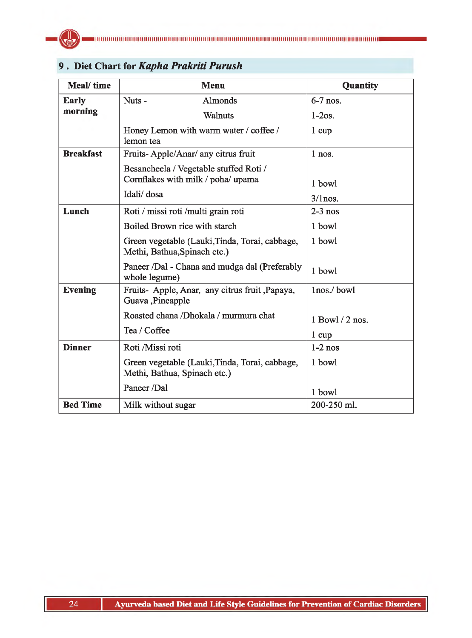

| Meal/time        | <b>Menu</b>                                                                    | Quantity        |
|------------------|--------------------------------------------------------------------------------|-----------------|
| <b>Early</b>     | Almonds<br>Nuts-                                                               | $6-7$ nos.      |
| morning          | <b>Walnuts</b>                                                                 | $1-2os.$        |
|                  | Honey Lemon with warm water / coffee /<br>lemon tea                            | $1 \text{ cup}$ |
| <b>Breakfast</b> | Fruits-Apple/Anar/ any citrus fruit                                            | $1$ nos.        |
|                  | Besancheela / Vegetable stuffed Roti /<br>Cornflakes with milk / poha/ upama   | 1 bowl          |
|                  | Idali/dosa                                                                     | $3/1$ nos.      |
| Lunch            | Roti / missi roti / multi grain roti                                           | $2-3$ nos       |
|                  | Boiled Brown rice with starch                                                  | 1 bowl          |
|                  | Green vegetable (Lauki, Tinda, Torai, cabbage,<br>Methi, Bathua, Spinach etc.) | 1 bowl          |
|                  | Paneer /Dal - Chana and mudga dal (Preferably<br>whole legume)                 | 1 bowl          |
| <b>Evening</b>   | Fruits- Apple, Anar, any citrus fruit , Papaya,<br>Guava ,Pineapple            | lnos./bowl      |
|                  | Roasted chana /Dhokala / murmura chat                                          | 1 Bowl / 2 nos. |
|                  | Tea / Coffee                                                                   | $1 \text{ cup}$ |
| <b>Dinner</b>    | Roti /Missi roti                                                               | $1-2$ nos       |
|                  | Green vegetable (Lauki, Tinda, Torai, cabbage,<br>Methi, Bathua, Spinach etc.) | 1 bowl          |
|                  | Paneer /Dal                                                                    | 1 bowl          |
| <b>Bed Time</b>  | Milk without sugar                                                             | 200-250 ml.     |

# **9 . Diet Chart for** *Kapha Prakriti Purush*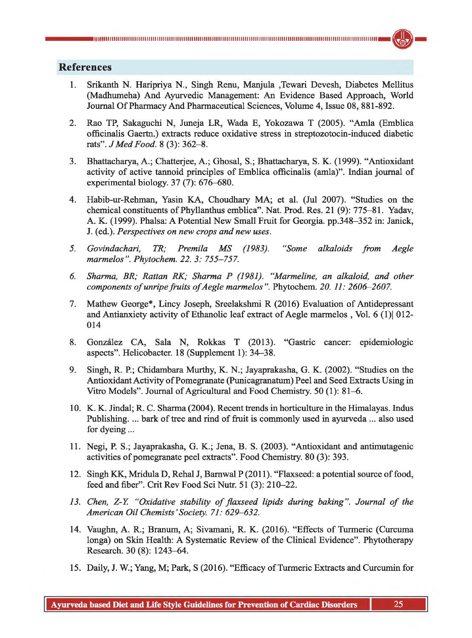# **References**

- 1. Srikanth N. Haripriya N., Singh Renu, Manjula ,Tewari Devesh, Diabetes Mellitus (Madhumeha) And Ayurvedic Management: An Evidence Based Approach, World Journal Of Pharmacy And Pharmaceutical Sciences, Volume 4, Issue 08, 881-892.
- 2. Rao TP, Sakaguchi N, Juneja LR, Wada E, Yokozawa T (2005). "Amla (Emblica officinalis Gaertn.) extracts reduce oxidative stress in streptozotocin-induced diabetic rats". *JM ed Food.* 8 (3): 362-8.
- 3. Bhattacharya, A.; Chatteijee, A.; Ghosal, S.; Bhattacharya, S. K. (1999). "Antioxidant activity of active tannoid principles of Emblica officinalis (amla)". Indian journal of experimental biology. 37 (7): 676-680.
- 4. Habib-ur-Rehman, Yasin KA, Choudhary MA; et al. (Jul 2007). "Studies on the chemical constituents of Phyllanthus emblica". Nat. Prod. Res. 21 (9): 775-81. Yadav, A. K. (1999). Phalsa: A Potential New Small Fruit for Georgia, pp.348-352 in: Janick, J. (ed.). *Perspectives on new crops and new uses.*
- *5. Govindachari, TR; Premila MS (1983). "Some alkaloids from Aegle marmelos". Phytochem. 22. 3: 755-757.*
- *6. Sharma, BR; Rattan RK; Sharma P (1981). "Marmeline, an alkaloid, and other components of unripe fruits of Aegle marmelos". Phytochem. 20. 11: 2606-2607.*
- 7. Mathew George\*, Lincy Joseph, Sreelakshmi R (2016) Evaluation of Antidepressant and Antianxiety activity of Ethanolic leaf extract of Aegle marmelos , Vol. 6 (1)| 012- 014
- 8. Gonzalez CA, Sala N, Rokkas T (2013). "Gastric cancer: epidemiologic aspects". Helicobacter. 18 (Supplement 1): 34—38.
- 9. Singh, R. P.; Chidambara Murthy, K. N.; Jayaprakasha, G. K. (2002). "Studies on the Antioxidant Activity of Pomegranate (Punicagranatum) Peel and Seed Extracts Using in Vitro Models". Journal of Agricultural and Food Chemistry. 50 (1): 81-6.
- 10. K. K. Jindal; R. C. Sharma (2004). Recent trends in horticulture in the Himalayas. Indus Publishing. ... bark of tree and rind of fruit is commonly used in ayurveda ... also used for dyeing...
- 11. Negi, P. S.; Jayaprakasha, G. K.; Jena, B. S. (2003). "Antioxidant and antimutagenic activities of pomegranate peel extracts". Food Chemistry. 80 (3): 393.
- 12. Singh KK, Mridula D, Rehal J, Bamwal P (2011). "Flaxseed: a potential source of food, feed and fiber". Crit Rev Food Sci Nutr. 51 (3): 210-22.
- 13. Chen, Z-Y. "Oxidative stability of flaxseed lipids during baking". Journal of the *American Oil Chemists' Society. 71: 629—632.*
- 14. Vaughn, A. R.; Branum, A; Sivamani, R. K. (2016). "Effects of Turmeric (Curcuma longa) on Skin Health: A Systematic Review of the Clinical Evidence". Phytotherapy Research. 30 (8): 1243-64.
- 15. Daily, J. W.; Yang, M; Park, S (2016). "Efficacy of Turmeric Extracts and Curcumin for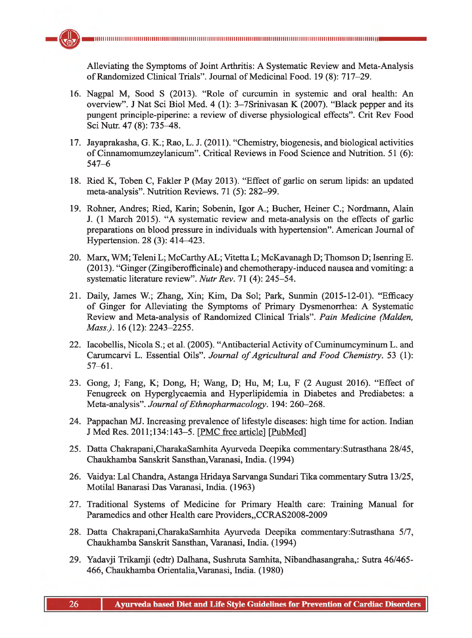Alleviating the Symptoms of Joint Arthritis: A Systematic Review and Meta-Analysis of Randomized Clinical Trials". Journal of Medicinal Food. 19 (8): 717-29.

- 16. Nagpal M, Sood S (2013). "Role of curcumin in systemic and oral health: An overview". J Nat Sci Biol Med. 4 (1): 3-7Srinivasan K (2007). "Black pepper and its pungent principle-piperine: a review of diverse physiological effects". Crit Rev Food Sci Nutr. 47 (8): 735-48.
- 17. Jayaprakasha, G. K.; Rao, L. J. (2011). "Chemistry, biogenesis, and biological activities of Cinnamomumzeylanicum". Critical Reviews in Food Science and Nutrition. 51 (6): 547-6
- 18. Ried K, Toben C, Fakler P (May 2013). "Effect of garlic on serum lipids: an updated meta-analysis". Nutrition Reviews. 71 (5): 282-99.
- 19. Rohner, Andres; Ried, Karin; Sobenin, Igor A.; Bucher, Heiner C.; Nordmann, Alain J. (1 March 2015). "A systematic review and meta-analysis on the effects of garlic preparations on blood pressure in individuals with hypertension". American Journal of Hypertension. 28 (3): 414—423.
- 20. Marx, WM; Teleni L; McCarthyAL; Vitetta L; McKavanagh D; Thomson D; Isenring E. (2013). "Ginger (Zingiberofficinale) and chemotherapy-induced nausea and vomiting: a systematic literature review". *Nutr Rev.* 71 (4): 245-54.
- 21. Daily, James W.; Zhang, Xin; Kim, Da Sol; Park, Sunmin (2015-12-01). "Efficacy of Ginger for Alleviating the Symptoms of Primary Dysmenorrhea: A Systematic Review and Meta-analysis of Randomized Clinical Trials". *Pain Medicine (Malden, Mass.).* 16 (12): 2243-2255.
- 22. Iacobellis, Nicola S.; et al. (2005). "Antibacterial Activity of Cuminumcyminum L. and Carumcarvi L. Essential Oils". *Journal of Agricultural and Food Chemistry*. 53 (1): 57-61.
- 23. Gong, J; Fang, K; Dong, H; Wang, D; Hu, M; Lu, F (2 August 2016). "Effect of Fenugreek on Hyperglycaemia and Hyperlipidemia in Diabetes and Prediabetes: a Meta-analysis". Journal of Ethnopharmacology. 194: 260-268.
- 24. Pappachan MJ. Increasing prevalence of lifestyle diseases: high time for action. Indian J Med Res. 2011;134:143-5. [PMC free article] [PubMed]
- 25. Datta Chakrapani,CharakaSamhita Ayurveda Deepika commentary:Sutrasthana 28/45, Chaukhamba Sanskrit Sansthan,Varanasi, India. (1994)
- 26. Vaidya: Lai Chandra, Astanga Hridaya Sarvanga Sundari Tika commentary Sutra 13/25, Motilal Banarasi Das Varanasi, India. (1963)
- 27. Traditional Systems of Medicine for Primary Health care: Training Manual for Paramedics and other Health care Providers, CCRAS2008-2009
- 28. Datta Chakrapani,CharakaSamhita Ayurveda Deepika commentary:Sutrasthana 5/7, Chaukhamba Sanskrit Sansthan, Varanasi, India. (1994)
- 29. Yadavji Trikamji (edtr) Dalhana, Sushruta Samhita, Nibandhasangraha,: Sutra 46/465- 466, Chaukhamba Orientalia,Varanasi, India. (1980)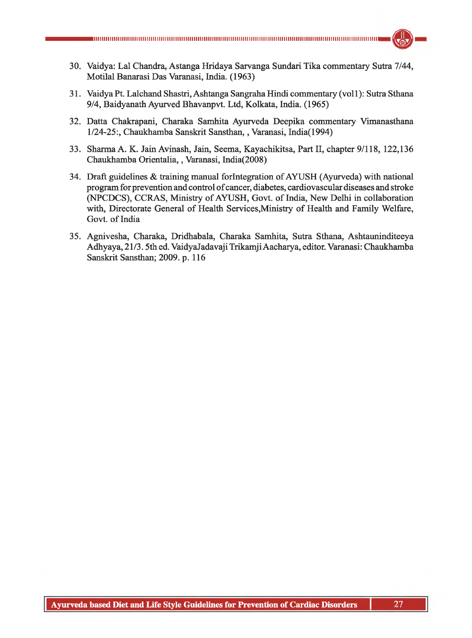- 30. Vaidya: Lai Chandra, Astanga Hridaya Sarvanga Sundari Tika commentary Sutra 7/44, Motilal Banarasi Das Varanasi, India. (1963)
- 31. Vaidya Pt. Lalchand Shastri, Ashtanga Sangraha Hindi commentary (vol 1): Sutra Sthana 9/4, Baidyanath Ayurved Bhavanpvt. Ltd, Kolkata, India. (1965)
- 32. Datta Chakrapani, Charaka Samhita Ayurveda Deepika commentary Vimanasthana 1/24-25:, Chaukhamba Sanskrit Sansthan,, Varanasi, India(1994)
- 33. Sharma A. K. Jain Avinash, Jain, Seema, Kayachikitsa, Part II, chapter 9/118, 122,136 Chaukhamba Orientalia,, Varanasi, India(2008)
- 34. Draft guidelines & training manual forlntegration of AYUSH (Ayurveda) with national program for prevention and control of cancer, diabetes, cardiovascular diseases and stroke (NPCDCS), CCRAS, Ministry of AYUSH, Govt, of India, New Delhi in collaboration with, Directorate General of Health Services,Ministry of Health and Family Welfare, Govt, of India
- 35. Agnivesha, Charaka, Dridhabala, Charaka Samhita, Sutra Sthana, Ashtauninditeeya Adhyaya, 21/3.5th ed. VaidyaJadavajiTrikamji Aacharya, editor. Varanasi: Chaukhamba Sanskrit Sansthan; 2009. p. 116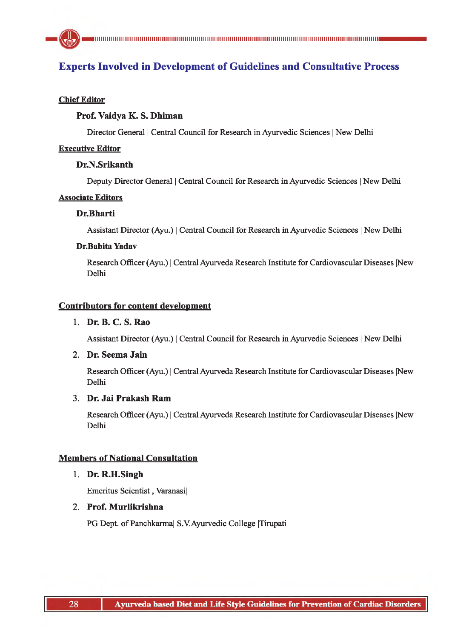# **Experts Involved in Development of Guidelines and Consultative Process**

#### **Chief Editor**

## **Prof. Vaidya K. S. Dhiman**

Director General | Central Council for Research in Ayurvedic Sciences | New Delhi

#### **Executive Editor**

### **Dr.N.Srikanth**

Deputy Director General | Central Council for Research in Ayurvedic Sciences | New Delhi

#### **Associate Editors**

#### **Dr.Bharti**

Assistant Director (Ayu.) | Central Council for Research in Ayurvedic Sciences | New Delhi

#### **Dr.Babita Yadav**

Research Officer (Ayu.) | Central Ayurveda Research Institute for Cardiovascular Diseases |New Delhi

#### **Contributors for content development**

## **1. Dr. B. C. S. Rao**

Assistant Director (Ayu.) | Central Council for Research in Ayurvedic Sciences | New Delhi

#### 2. **Dr. Seema Jain**

Research Officer (Ayu.) | Central Ayurveda Research Institute for Cardiovascular Diseases |New Delhi

# 3. **Dr. Jai Prakash Ram**

Research Officer (Ayu.) | Central Ayurveda Research Institute for Cardiovascular Diseases |New Delhi

## **Members of National Consultation**

#### **1. Dr. R.H.Singh**

Emeritus Scientist, Varanasi|

# 2. **Prof. Murlikrishna**

PG Dept, of Panchkarma| S.V.Ayurvedic College |Tirupati